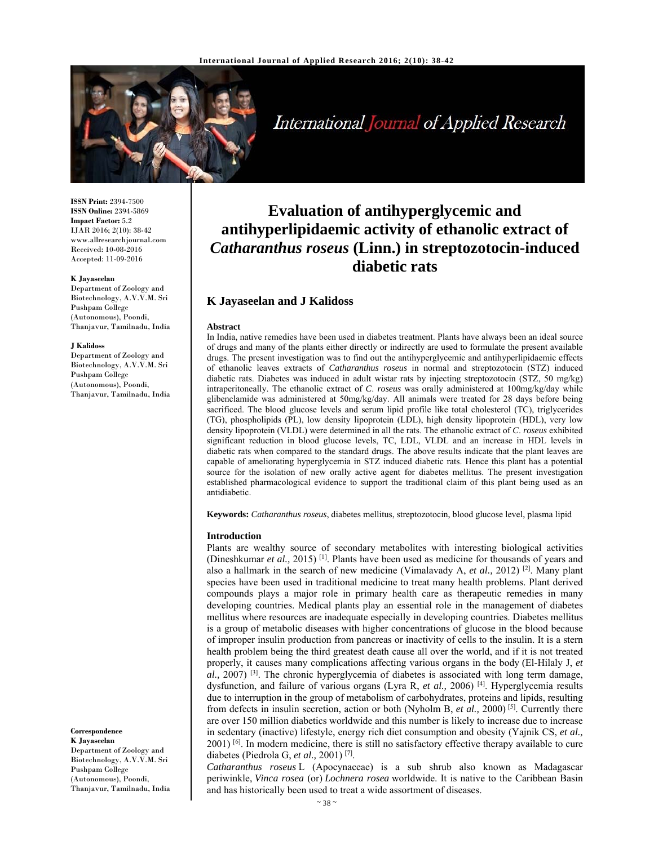

International Journal of Applied Research

**ISSN Print:** 2394-7500 **ISSN Online:** 2394-5869 **Impact Factor:** 5.2 IJAR 2016; 2(10): 38-42 www.allresearchjournal.com Received: 10-08-2016 Accepted: 11-09-2016

#### **K Jayaseelan**

Department of Zoology and Biotechnology, A.V.V.M. Sri Pushpam College (Autonomous), Poondi, Thanjavur, Tamilnadu, India

#### **J Kalidoss**

Department of Zoology and Biotechnology, A.V.V.M. Sri Pushpam College (Autonomous), Poondi, Thanjavur, Tamilnadu, India

**Correspondence K Jayaseelan**  Department of Zoology and Biotechnology, A.V.V.M. Sri Pushpam College (Autonomous), Poondi, Thanjavur, Tamilnadu, India

# **Evaluation of antihyperglycemic and antihyperlipidaemic activity of ethanolic extract of**  *Catharanthus roseus* **(Linn.) in streptozotocin-induced diabetic rats**

## **K Jayaseelan and J Kalidoss**

#### **Abstract**

In India, native remedies have been used in diabetes treatment. Plants have always been an ideal source of drugs and many of the plants either directly or indirectly are used to formulate the present available drugs. The present investigation was to find out the antihyperglycemic and antihyperlipidaemic effects of ethanolic leaves extracts of *Catharanthus roseus* in normal and streptozotocin (STZ) induced diabetic rats. Diabetes was induced in adult wistar rats by injecting streptozotocin (STZ, 50 mg/kg) intraperitoneally. The ethanolic extract of *C*. *roseus* was orally administered at 100mg/kg/day while glibenclamide was administered at 50mg/kg/day. All animals were treated for 28 days before being sacrificed. The blood glucose levels and serum lipid profile like total cholesterol (TC), triglycerides (TG), phospholipids (PL), low density lipoprotein (LDL), high density lipoprotein (HDL), very low density lipoprotein (VLDL) were determined in all the rats. The ethanolic extract of *C*. *roseus* exhibited significant reduction in blood glucose levels, TC, LDL, VLDL and an increase in HDL levels in diabetic rats when compared to the standard drugs. The above results indicate that the plant leaves are capable of ameliorating hyperglycemia in STZ induced diabetic rats. Hence this plant has a potential source for the isolation of new orally active agent for diabetes mellitus. The present investigation established pharmacological evidence to support the traditional claim of this plant being used as an antidiabetic.

**Keywords:** *Catharanthus roseus*, diabetes mellitus, streptozotocin, blood glucose level, plasma lipid

#### **Introduction**

Plants are wealthy source of secondary metabolites with interesting biological activities (Dineshkumar *et al.,* 2015) [1]. Plants have been used as medicine for thousands of years and also a hallmark in the search of new medicine (Vimalavady A, *et al.,* 2012) [2]. Many plant species have been used in traditional medicine to treat many health problems. Plant derived compounds plays a major role in primary health care as therapeutic remedies in many developing countries. Medical plants play an essential role in the management of diabetes mellitus where resources are inadequate especially in developing countries. Diabetes mellitus is a group of metabolic diseases with higher concentrations of glucose in the blood because of improper insulin production from pancreas or inactivity of cells to the insulin. It is a stern health problem being the third greatest death cause all over the world, and if it is not treated properly, it causes many complications affecting various organs in the body (El-Hilaly J, *et al.,* 2007) [3]. The chronic hyperglycemia of diabetes is associated with long term damage, dysfunction, and failure of various organs (Lyra R, et al., 2006)<sup>[4]</sup>. Hyperglycemia results due to interruption in the group of metabolism of carbohydrates, proteins and lipids, resulting from defects in insulin secretion, action or both (Nyholm B, *et al.,* 2000) [5]. Currently there are over 150 million diabetics worldwide and this number is likely to increase due to increase in sedentary (inactive) lifestyle, energy rich diet consumption and obesity (Yajnik CS, *et al.,*   $2001$ ) <sup>[6]</sup>. In modern medicine, there is still no satisfactory effective therapy available to cure diabetes (Piedrola G, *et al.,* 2001) [7].

*Catharanthus roseus* L (Apocynaceae) is a sub shrub also known as Madagascar periwinkle, *Vinca rosea* (or) *Lochnera rosea* worldwide. It is native to the Caribbean Basin and has historically been used to treat a wide assortment of diseases.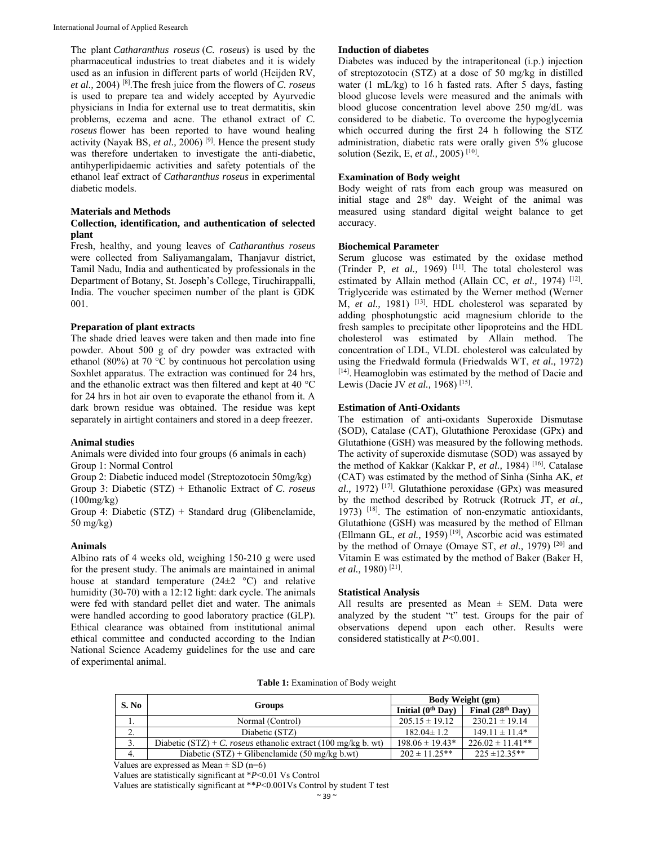The plant *Catharanthus roseus* (*C. roseus*) is used by the pharmaceutical industries to treat diabetes and it is widely used as an infusion in different parts of world (Heijden RV, *et al.,* 2004) [8].The fresh juice from the flowers of *C. roseus* is used to prepare tea and widely accepted by Ayurvedic physicians in India for external use to treat dermatitis, skin problems, eczema and acne. The ethanol extract of *C. roseus* flower has been reported to have wound healing activity (Nayak BS, *et al.,* 2006) [9]. Hence the present study was therefore undertaken to investigate the anti-diabetic, antihyperlipidaemic activities and safety potentials of the ethanol leaf extract of *Catharanthus roseus* in experimental diabetic models.

#### **Materials and Methods**

## **Collection, identification, and authentication of selected plant**

Fresh, healthy, and young leaves of *Catharanthus roseus* were collected from Saliyamangalam, Thanjavur district, Tamil Nadu, India and authenticated by professionals in the Department of Botany, St. Joseph's College, Tiruchirappalli, India. The voucher specimen number of the plant is GDK 001.

## **Preparation of plant extracts**

The shade dried leaves were taken and then made into fine powder. About 500 g of dry powder was extracted with ethanol (80%) at 70 °C by continuous hot percolation using Soxhlet apparatus. The extraction was continued for 24 hrs, and the ethanolic extract was then filtered and kept at 40 °C for 24 hrs in hot air oven to evaporate the ethanol from it. A dark brown residue was obtained. The residue was kept separately in airtight containers and stored in a deep freezer.

#### **Animal studies**

Animals were divided into four groups (6 animals in each) Group 1: Normal Control

Group 2: Diabetic induced model (Streptozotocin 50mg/kg)

Group 3: Diabetic (STZ) + Ethanolic Extract of *C*. *roseus* (100mg/kg)

Group 4: Diabetic (STZ) + Standard drug (Glibenclamide, 50 mg/kg)

## **Animals**

Albino rats of 4 weeks old, weighing 150-210 g were used for the present study. The animals are maintained in animal house at standard temperature  $(24\pm2~^{\circ}\mathrm{C})$  and relative humidity (30-70) with a 12:12 light: dark cycle. The animals were fed with standard pellet diet and water. The animals were handled according to good laboratory practice (GLP). Ethical clearance was obtained from institutional animal ethical committee and conducted according to the Indian National Science Academy guidelines for the use and care of experimental animal.

#### **Induction of diabetes**

Diabetes was induced by the intraperitoneal (i.p.) injection of streptozotocin (STZ) at a dose of 50 mg/kg in distilled water (1 mL/kg) to 16 h fasted rats. After 5 days, fasting blood glucose levels were measured and the animals with blood glucose concentration level above 250 mg/dL was considered to be diabetic. To overcome the hypoglycemia which occurred during the first 24 h following the STZ administration, diabetic rats were orally given 5% glucose solution (Sezik, E, *et al.,* 2005) [10].

## **Examination of Body weight**

Body weight of rats from each group was measured on initial stage and 28th day. Weight of the animal was measured using standard digital weight balance to get accuracy.

## **Biochemical Parameter**

Serum glucose was estimated by the oxidase method (Trinder P, et al., 1969)<sup>[11]</sup>. The total cholesterol was estimated by Allain method (Allain CC, et al., 1974) <sup>[12]</sup>. Triglyceride was estimated by the Werner method (Werner M, *et al.*, 1981)<sup>[13]</sup>. HDL cholesterol was separated by adding phosphotungstic acid magnesium chloride to the fresh samples to precipitate other lipoproteins and the HDL cholesterol was estimated by Allain method. The concentration of LDL, VLDL cholesterol was calculated by using the Friedwald formula (Friedwalds WT, *et al.,* 1972) [14]. Heamoglobin was estimated by the method of Dacie and Lewis (Dacie JV *et al.,* 1968) [15].

## **Estimation of Anti-Oxidants**

The estimation of anti-oxidants Superoxide Dismutase (SOD), Catalase (CAT), Glutathione Peroxidase (GPx) and Glutathione (GSH) was measured by the following methods. The activity of superoxide dismutase (SOD) was assayed by the method of Kakkar (Kakkar P, *et al.,* 1984) [16]. Catalase (CAT) was estimated by the method of Sinha (Sinha AK, *et al.,* 1972) [17]. Glutathione peroxidase (GPx) was measured by the method described by Rotruck (Rotruck JT, *et al.,*  1973) [18]. The estimation of non-enzymatic antioxidants, Glutathione (GSH) was measured by the method of Ellman (Ellmann GL, *et al.,* 1959) [19], Ascorbic acid was estimated by the method of Omaye (Omaye ST, *et al.,* 1979) [20] and Vitamin E was estimated by the method of Baker (Baker H, *et al.,* 1980) [21].

#### **Statistical Analysis**

All results are presented as Mean  $\pm$  SEM. Data were analyzed by the student "t" test. Groups for the pair of observations depend upon each other. Results were considered statistically at *P*<0.001.

|  |  | Table 1: Examination of Body weight |
|--|--|-------------------------------------|
|--|--|-------------------------------------|

| S. No    |                                                                | <b>Body Weight (gm)</b> |                      |  |
|----------|----------------------------------------------------------------|-------------------------|----------------------|--|
|          | <b>Groups</b>                                                  | Initial $(0th$ Day)     | Final $(28th$ Day)   |  |
| .,       | Normal (Control)                                               | $205.15 \pm 19.12$      | $230.21 \pm 19.14$   |  |
| <u>.</u> | Diabetic (STZ)                                                 | $182.04 \pm 1.2$        | $149.11 \pm 11.4*$   |  |
| 3.       | Diabetic (STZ) + C, roseus ethanolic extract (100 mg/kg b, wt) | $198.06 \pm 19.43*$     | $226.02 \pm 11.41**$ |  |
| 4.       | Diabetic $(STZ)$ + Glibenclamide (50 mg/kg b.wt)               | $202 \pm 11.25$ **      | $225 \pm 12.35**$    |  |

Values are expressed as Mean  $\pm$  SD (n=6)

Values are statistically significant at \**P*<0.01 Vs Control

Values are statistically significant at \*\**P*<0.001Vs Control by student T test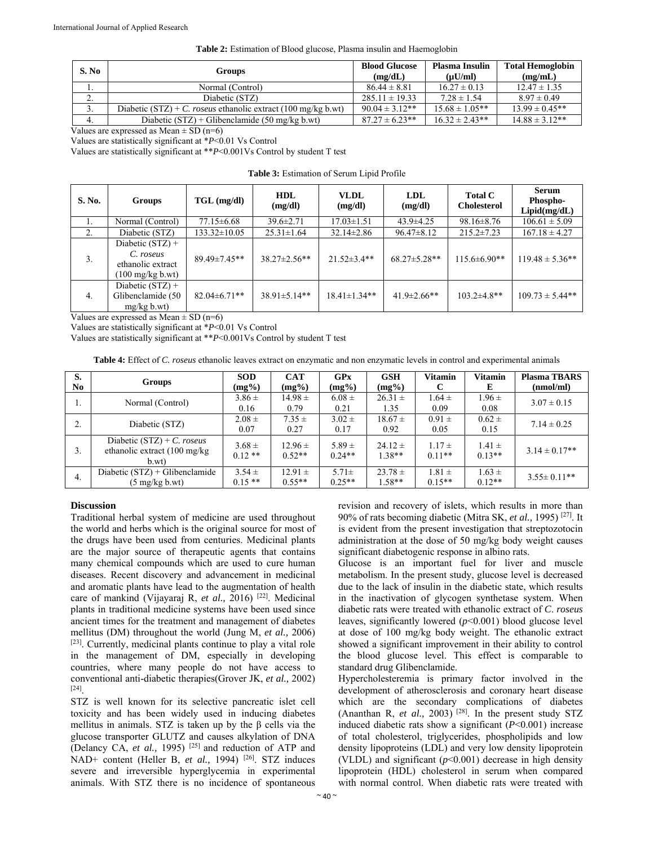| Table 2: Estimation of Blood glucose, Plasma insulin and Haemoglobin |  |
|----------------------------------------------------------------------|--|
|----------------------------------------------------------------------|--|

| S. No            | <b>Groups</b>                                                 | <b>Blood Glucose</b><br>(mg/dL) | <b>Plasma Insulin</b><br>$(\mu U/ml)$ | <b>Total Hemoglobin</b><br>(mg/mL) |
|------------------|---------------------------------------------------------------|---------------------------------|---------------------------------------|------------------------------------|
| . .              | Normal (Control)                                              | $86.44 \pm 8.81$                | $16.27 \pm 0.13$                      | $12.47 \pm 1.35$                   |
| <u>.</u>         | Diabetic (STZ)                                                | $285.11 \pm 19.33$              | $7.28 \pm 1.54$                       | $8.97 \pm 0.49$                    |
| $\mathfrak{I}$ . | Diabetic (STZ) + C. roseus ethanolic extract (100 mg/kg b.wt) | $90.04 \pm 3.12**$              | $15.68 \pm 1.05$ **                   | $13.99 \pm 0.45**$                 |
| 4.               | Diabetic $(STZ)$ + Glibenclamide (50 mg/kg b.wt)              | $87.27 \pm 6.23$ **             | $16.32 \pm 2.43**$                    | $14.88 \pm 3.12**$                 |

Values are expressed as Mean  $\pm$  SD (n=6)

Values are statistically significant at \**P*<0.01 Vs Control

Values are statistically significant at \*\**P*<0.001Vs Control by student T test

| <b>Table 3:</b> Estimation of Serum Lipid Profile |        |  |  |  |  |  |
|---------------------------------------------------|--------|--|--|--|--|--|
|                                                   | TIT TY |  |  |  |  |  |

| S. No.           | Groups                                                                             | $TGL$ (mg/dl)       | <b>HDL</b><br>(mg/dl) | <b>VLDL</b><br>(mg/dl) | LDL<br>(mg/dl)      |                    | <b>Serum</b><br>Phospho-<br>Lipid(mg/dL) |
|------------------|------------------------------------------------------------------------------------|---------------------|-----------------------|------------------------|---------------------|--------------------|------------------------------------------|
| 1.               | Normal (Control)                                                                   | $77.15 \pm 6.68$    | $39.6 \pm 2.71$       | $17.03 \pm 1.51$       | $43.9 \pm 4.25$     | $98.16 \pm 8.76$   | $106.61 \pm 5.09$                        |
| 2.               | Diabetic (STZ)                                                                     | $133.32 \pm 10.05$  | $25.31 \pm 1.64$      | $32.14 \pm 2.86$       | $96.47 \pm 8.12$    | $215.2 \pm 7.23$   | $167.18 \pm 4.27$                        |
| 3.               | Diabetic $(STZ) +$<br>C. roseus<br>ethanolic extract<br>$(100 \text{ mg/kg b.wt})$ | $89.49 \pm 7.45**$  | $38.27 \pm 2.56**$    | $21.52 \pm 3.4**$      | $68.27 \pm 5.28$ ** | $115.6 \pm 6.90**$ | $119.48 \pm 5.36$ **                     |
| $\overline{4}$ . | Diabetic $(STZ) +$<br>Glibenclamide (50<br>$mg/kg$ b.wt)                           | $82.04 \pm 6.71$ ** | $38.91 \pm 5.14**$    | $18.41 \pm 1.34**$     | $41.9 \pm 2.66$ **  | $103.2{\pm}4.8**$  | $109.73 \pm 5.44**$                      |

Values are expressed as Mean  $\pm$  SD (n=6)

Values are statistically significant at \**P*<0.01 Vs Control

Values are statistically significant at \*\**P*<0.001Vs Control by student T test

**Table 4:** Effect of *C. roseus* ethanolic leaves extract on enzymatic and non enzymatic levels in control and experimental animals

| S.<br>N <sub>0</sub> | Groups                                                                            | <b>SOD</b><br>$(mg\%)$ | <b>CAT</b><br>$(mg\%)$  | <b>GPx</b><br>$(mg\%)$ | <b>GSH</b><br>$(mg\%)$  | Vitamin<br>C           | <b>Vitamin</b><br>E    | <b>Plasma TBARS</b><br>(mmol/ml) |
|----------------------|-----------------------------------------------------------------------------------|------------------------|-------------------------|------------------------|-------------------------|------------------------|------------------------|----------------------------------|
| ı.                   | Normal (Control)                                                                  | $3.86 \pm$<br>0.16     | $14.98 \pm$<br>0.79     | $6.08 \pm$<br>0.21     | $26.31 \pm$<br>1.35     | $1.64 \pm$<br>0.09     | $1.96 \pm$<br>0.08     | $3.07 \pm 0.15$                  |
| z.                   | Diabetic (STZ)                                                                    | $2.08 \pm$<br>0.07     | $7.35 \pm$<br>0.27      | $3.02 \pm$<br>0.17     | $18.67 \pm$<br>0.92     | $0.91 \pm$<br>0.05     | $0.62 \pm$<br>0.15     | $7.14 \pm 0.25$                  |
| 3.                   | Diabetic $(STZ) + C$ . roseus<br>ethanolic extract $(100 \text{ mg/kg})$<br>b.wt) | $3.68 \pm$<br>$0.12**$ | $12.96 \pm$<br>$0.52**$ | $5.89 \pm$<br>$0.24**$ | $24.12 \pm$<br>$1.38**$ | $1.17 \pm$<br>$0.11**$ | $1.41 \pm$<br>$0.13**$ | $3.14 \pm 0.17**$                |
| 4.                   | Diabetic $(STZ) + Glibenclamide$<br>$(5 \text{ mg/kg b.wt})$                      | $3.54 \pm$<br>$0.15**$ | $12.91 \pm$<br>$0.55**$ | $5.71 \pm$<br>$0.25**$ | $23.78 \pm$<br>$1.58**$ | $1.81 \pm$<br>$0.15**$ | $1.63 \pm$<br>$0.12**$ | $3.55 \pm 0.11$ **               |

## **Discussion**

Traditional herbal system of medicine are used throughout the world and herbs which is the original source for most of the drugs have been used from centuries. Medicinal plants are the major source of therapeutic agents that contains many chemical compounds which are used to cure human diseases. Recent discovery and advancement in medicinal and aromatic plants have lead to the augmentation of health care of mankind (Vijayaraj R, et al., 2016) <sup>[22]</sup>. Medicinal plants in traditional medicine systems have been used since ancient times for the treatment and management of diabetes mellitus (DM) throughout the world (Jung M, *et al.,* 2006) [23]. Currently, medicinal plants continue to play a vital role in the management of DM, especially in developing countries, where many people do not have access to conventional anti-diabetic therapies(Grover JK, *et al.,* 2002) [24].

STZ is well known for its selective pancreatic islet cell toxicity and has been widely used in inducing diabetes mellitus in animals. STZ is taken up by the  $\beta$  cells via the glucose transporter GLUTZ and causes alkylation of DNA (Delancy CA, *et al.,* 1995) [25] and reduction of ATP and NAD<sup>+</sup> content (Heller B, et al., 1994)<sup>[26]</sup>. STZ induces severe and irreversible hyperglycemia in experimental animals. With STZ there is no incidence of spontaneous revision and recovery of islets, which results in more than 90% of rats becoming diabetic (Mitra SK, *et al.,* 1995) [27]. It is evident from the present investigation that streptozotocin administration at the dose of 50 mg/kg body weight causes significant diabetogenic response in albino rats.

Glucose is an important fuel for liver and muscle metabolism. In the present study, glucose level is decreased due to the lack of insulin in the diabetic state, which results in the inactivation of glycogen synthetase system. When diabetic rats were treated with ethanolic extract of *C*. *roseus* leaves, significantly lowered (*p*<0.001) blood glucose level at dose of 100 mg/kg body weight. The ethanolic extract showed a significant improvement in their ability to control the blood glucose level. This effect is comparable to standard drug Glibenclamide.

Hypercholesteremia is primary factor involved in the development of atherosclerosis and coronary heart disease which are the secondary complications of diabetes (Ananthan R, et al., 2003)<sup>[28]</sup>. In the present study STZ induced diabetic rats show a significant (*P*<0.001) increase of total cholesterol, triglycerides, phospholipids and low density lipoproteins (LDL) and very low density lipoprotein (VLDL) and significant  $(p<0.001)$  decrease in high density lipoprotein (HDL) cholesterol in serum when compared with normal control. When diabetic rats were treated with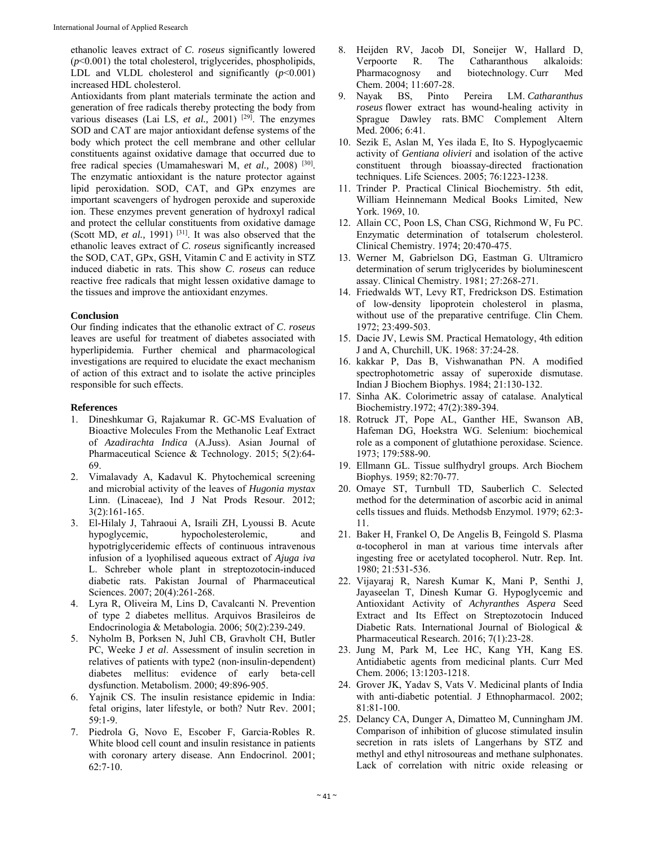ethanolic leaves extract of *C*. *roseus* significantly lowered  $(p<0.001)$  the total cholesterol, triglycerides, phospholipids, LDL and VLDL cholesterol and significantly  $(p<0.001)$ increased HDL cholesterol.

Antioxidants from plant materials terminate the action and generation of free radicals thereby protecting the body from various diseases (Lai LS, *et al.,* 2001) [29]. The enzymes SOD and CAT are major antioxidant defense systems of the body which protect the cell membrane and other cellular constituents against oxidative damage that occurred due to free radical species (Umamaheswari M, *et al.,* 2008) [30]. The enzymatic antioxidant is the nature protector against lipid peroxidation. SOD, CAT, and GPx enzymes are important scavengers of hydrogen peroxide and superoxide ion. These enzymes prevent generation of hydroxyl radical and protect the cellular constituents from oxidative damage (Scott MD, et al., 1991)<sup>[31]</sup>. It was also observed that the ethanolic leaves extract of *C*. *roseus* significantly increased the SOD, CAT, GPx, GSH, Vitamin C and E activity in STZ induced diabetic in rats. This show *C*. *roseus* can reduce reactive free radicals that might lessen oxidative damage to the tissues and improve the antioxidant enzymes.

## **Conclusion**

Our finding indicates that the ethanolic extract of *C*. *roseus* leaves are useful for treatment of diabetes associated with hyperlipidemia. Further chemical and pharmacological investigations are required to elucidate the exact mechanism of action of this extract and to isolate the active principles responsible for such effects.

#### **References**

- 1. Dineshkumar G, Rajakumar R. GC-MS Evaluation of Bioactive Molecules From the Methanolic Leaf Extract of *Azadirachta Indica* (A.Juss). Asian Journal of Pharmaceutical Science & Technology. 2015; 5(2):64- 69.
- 2. Vimalavady A, Kadavul K. Phytochemical screening and microbial activity of the leaves of *Hugonia mystax*  Linn. (Linaceae), Ind J Nat Prods Resour. 2012; 3(2):161-165.
- 3. El-Hilaly J, Tahraoui A, Israili ZH, Lyoussi B. Acute hypoglycemic, hypocholesterolemic, and hypotriglyceridemic effects of continuous intravenous infusion of a lyophilised aqueous extract of *Ajuga iva* L. Schreber whole plant in streptozotocin-induced diabetic rats. Pakistan Journal of Pharmaceutical Sciences. 2007; 20(4):261-268.
- 4. Lyra R, Oliveira M, Lins D, Cavalcanti N. Prevention of type 2 diabetes mellitus. Arquivos Brasileiros de Endocrinologia & Metabologia. 2006; 50(2):239-249.
- 5. Nyholm B, Porksen N, Juhl CB, Gravholt CH, Butler PC, Weeke J *et al*. Assessment of insulin secretion in relatives of patients with type2 (non‐insulin‐dependent) diabetes mellitus: evidence of early beta‐cell dysfunction. Metabolism. 2000; 49:896‐905.
- 6. Yajnik CS. The insulin resistance epidemic in India: fetal origins, later lifestyle, or both? Nutr Rev. 2001; 59:1‐9.
- 7. Piedrola G, Novo E, Escober F, Garcia‐Robles R. White blood cell count and insulin resistance in patients with coronary artery disease. Ann Endocrinol. 2001; 62:7‐10.
- 8. Heijden RV, Jacob DI, Soneijer W, Hallard D, Verpoorte R. The Catharanthous alkaloids: Pharmacognosy and biotechnology. Curr Med Chem. 2004; 11:607-28.<br>9. Nayak BS, Pinto
- 9. Nayak BS, Pinto Pereira LM. *Catharanthus roseus* flower extract has wound-healing activity in Sprague Dawley rats. BMC Complement Altern Med. 2006; 6:41.
- 10. Sezik E, Aslan M, Yes ilada E, Ito S. Hypoglycaemic activity of *Gentiana olivieri* and isolation of the active constituent through bioassay-directed fractionation techniques. Life Sciences. 2005; 76:1223-1238.
- 11. Trinder P. Practical Clinical Biochemistry. 5th edit, William Heinnemann Medical Books Limited, New York. 1969, 10.
- 12. Allain CC, Poon LS, Chan CSG, Richmond W, Fu PC. Enzymatic determination of totalserum cholesterol. Clinical Chemistry. 1974; 20:470-475.
- 13. Werner M, Gabrielson DG, Eastman G. Ultramicro determination of serum triglycerides by bioluminescent assay. Clinical Chemistry. 1981; 27:268-271.
- 14. Friedwalds WT, Levy RT, Fredrickson DS. Estimation of low-density lipoprotein cholesterol in plasma, without use of the preparative centrifuge. Clin Chem. 1972; 23:499-503.
- 15. Dacie JV, Lewis SM. Practical Hematology, 4th edition J and A, Churchill, UK. 1968: 37:24-28.
- 16. kakkar P, Das B, Vishwanathan PN. A modified spectrophotometric assay of superoxide dismutase. Indian J Biochem Biophys. 1984; 21:130-132.
- 17. Sinha AK. Colorimetric assay of catalase. Analytical Biochemistry.1972; 47(2):389-394.
- 18. Rotruck JT, Pope AL, Ganther HE, Swanson AB, Hafeman DG, Hoekstra WG. Selenium: biochemical role as a component of glutathione peroxidase. Science. 1973; 179:588-90.
- 19. Ellmann GL. Tissue sulfhydryl groups. Arch Biochem Biophys. 1959; 82:70-77.
- 20. Omaye ST, Turnbull TD, Sauberlich C. Selected method for the determination of ascorbic acid in animal cells tissues and fluids. Methodsb Enzymol. 1979; 62:3- 11.
- 21. Baker H, Frankel O, De Angelis B, Feingold S. Plasma α-tocopherol in man at various time intervals after ingesting free or acetylated tocopherol. Nutr. Rep. Int. 1980; 21:531-536.
- 22. Vijayaraj R, Naresh Kumar K, Mani P, Senthi J, Jayaseelan T, Dinesh Kumar G. Hypoglycemic and Antioxidant Activity of *Achyranthes Aspera* Seed Extract and Its Effect on Streptozotocin Induced Diabetic Rats. International Journal of Biological & Pharmaceutical Research. 2016; 7(1):23-28.
- 23. Jung M, Park M, Lee HC, Kang YH, Kang ES. Antidiabetic agents from medicinal plants. Curr Med Chem. 2006; 13:1203-1218.
- 24. Grover JK, Yadav S, Vats V. Medicinal plants of India with anti-diabetic potential. J Ethnopharmacol. 2002; 81:81-100.
- 25. Delancy CA, Dunger A, Dimatteo M, Cunningham JM. Comparison of inhibition of glucose stimulated insulin secretion in rats islets of Langerhans by STZ and methyl and ethyl nitrosoureas and methane sulphonates. Lack of correlation with nitric oxide releasing or